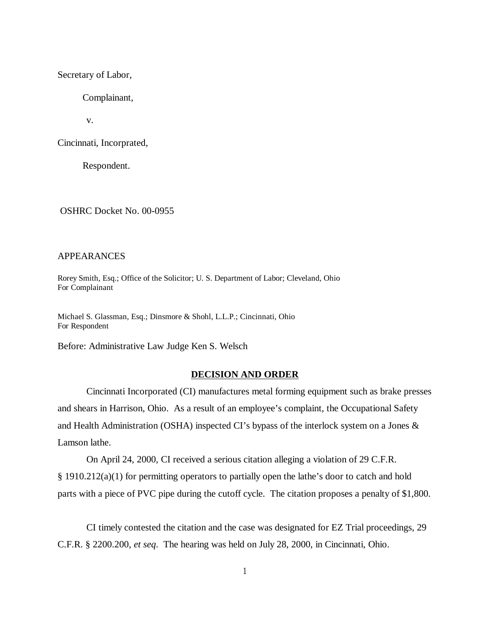Secretary of Labor,

Complainant,

v.

Cincinnati, Incorprated,

Respondent.

OSHRC Docket No. 00-0955

### APPEARANCES

Rorey Smith, Esq.; Office of the Solicitor; U. S. Department of Labor; Cleveland, Ohio For Complainant

Michael S. Glassman, Esq.; Dinsmore & Shohl, L.L.P.; Cincinnati, Ohio For Respondent

Before: Administrative Law Judge Ken S. Welsch

#### **DECISION AND ORDER**

Cincinnati Incorporated (CI) manufactures metal forming equipment such as brake presses and shears in Harrison, Ohio. As a result of an employee's complaint, the Occupational Safety and Health Administration (OSHA) inspected CI's bypass of the interlock system on a Jones & Lamson lathe.

On April 24, 2000, CI received a serious citation alleging a violation of 29 C.F.R. § 1910.212(a)(1) for permitting operators to partially open the lathe's door to catch and hold parts with a piece of PVC pipe during the cutoff cycle. The citation proposes a penalty of \$1,800.

CI timely contested the citation and the case was designated for EZ Trial proceedings, 29 C.F.R. § 2200.200, *et seq*. The hearing was held on July 28, 2000, in Cincinnati, Ohio.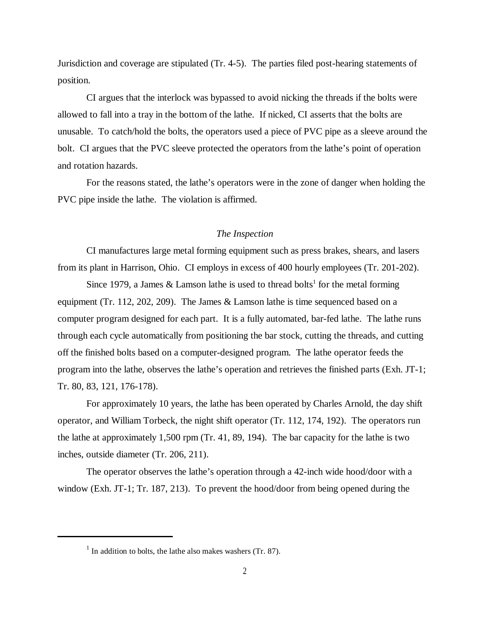Jurisdiction and coverage are stipulated (Tr. 4-5). The parties filed post-hearing statements of position.

CI argues that the interlock was bypassed to avoid nicking the threads if the bolts were allowed to fall into a tray in the bottom of the lathe. If nicked, CI asserts that the bolts are unusable. To catch/hold the bolts, the operators used a piece of PVC pipe as a sleeve around the bolt. CI argues that the PVC sleeve protected the operators from the lathe's point of operation and rotation hazards.

For the reasons stated, the lathe's operators were in the zone of danger when holding the PVC pipe inside the lathe. The violation is affirmed.

## *The Inspection*

CI manufactures large metal forming equipment such as press brakes, shears, and lasers from its plant in Harrison, Ohio. CI employs in excess of 400 hourly employees (Tr. 201-202).

Since 1979, a James  $&$  Lamson lathe is used to thread bolts<sup>1</sup> for the metal forming equipment (Tr. 112, 202, 209). The James & Lamson lathe is time sequenced based on a computer program designed for each part. It is a fully automated, bar-fed lathe. The lathe runs through each cycle automatically from positioning the bar stock, cutting the threads, and cutting off the finished bolts based on a computer-designed program. The lathe operator feeds the program into the lathe, observes the lathe's operation and retrieves the finished parts (Exh. JT-1; Tr. 80, 83, 121, 176-178).

For approximately 10 years, the lathe has been operated by Charles Arnold, the day shift operator, and William Torbeck, the night shift operator (Tr. 112, 174, 192). The operators run the lathe at approximately 1,500 rpm (Tr. 41, 89, 194). The bar capacity for the lathe is two inches, outside diameter (Tr. 206, 211).

The operator observes the lathe's operation through a 42-inch wide hood/door with a window (Exh. JT-1; Tr. 187, 213). To prevent the hood/door from being opened during the

 $<sup>1</sup>$  In addition to bolts, the lathe also makes washers (Tr. 87).</sup>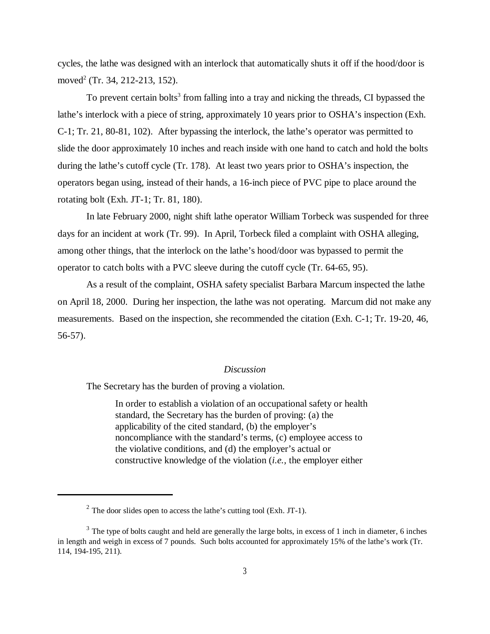cycles, the lathe was designed with an interlock that automatically shuts it off if the hood/door is moved<sup>2</sup> (Tr. 34, 212-213, 152).

To prevent certain bolts<sup>3</sup> from falling into a tray and nicking the threads, CI bypassed the lathe's interlock with a piece of string, approximately 10 years prior to OSHA's inspection (Exh. C-1; Tr. 21, 80-81, 102). After bypassing the interlock, the lathe's operator was permitted to slide the door approximately 10 inches and reach inside with one hand to catch and hold the bolts during the lathe's cutoff cycle (Tr. 178). At least two years prior to OSHA's inspection, the operators began using, instead of their hands, a 16-inch piece of PVC pipe to place around the rotating bolt (Exh. JT-1; Tr. 81, 180).

In late February 2000, night shift lathe operator William Torbeck was suspended for three days for an incident at work (Tr. 99). In April, Torbeck filed a complaint with OSHA alleging, among other things, that the interlock on the lathe's hood/door was bypassed to permit the operator to catch bolts with a PVC sleeve during the cutoff cycle (Tr. 64-65, 95).

As a result of the complaint, OSHA safety specialist Barbara Marcum inspected the lathe on April 18, 2000. During her inspection, the lathe was not operating. Marcum did not make any measurements. Based on the inspection, she recommended the citation (Exh. C-1; Tr. 19-20, 46, 56-57).

## *Discussion*

The Secretary has the burden of proving a violation.

In order to establish a violation of an occupational safety or health standard, the Secretary has the burden of proving: (a) the applicability of the cited standard, (b) the employer's noncompliance with the standard's terms, (c) employee access to the violative conditions, and (d) the employer's actual or constructive knowledge of the violation (*i.e.,* the employer either

 $^{2}$  The door slides open to access the lathe's cutting tool (Exh. JT-1).

<sup>&</sup>lt;sup>3</sup> The type of bolts caught and held are generally the large bolts, in excess of 1 inch in diameter, 6 inches in length and weigh in excess of 7 pounds. Such bolts accounted for approximately 15% of the lathe's work (Tr. 114, 194-195, 211).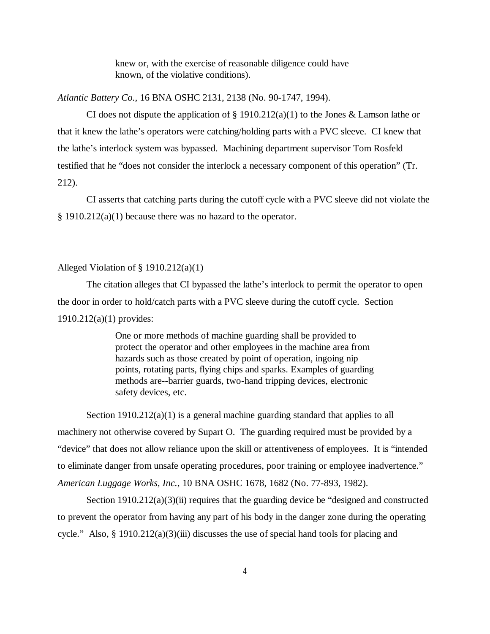knew or, with the exercise of reasonable diligence could have known, of the violative conditions).

*Atlantic Battery Co.,* 16 BNA OSHC 2131, 2138 (No. 90-1747, 1994).

CI does not dispute the application of  $\S 1910.212(a)(1)$  to the Jones & Lamson lathe or that it knew the lathe's operators were catching/holding parts with a PVC sleeve. CI knew that the lathe's interlock system was bypassed. Machining department supervisor Tom Rosfeld testified that he "does not consider the interlock a necessary component of this operation" (Tr. 212).

CI asserts that catching parts during the cutoff cycle with a PVC sleeve did not violate the § 1910.212(a)(1) because there was no hazard to the operator.

#### Alleged Violation of § 1910.212(a)(1)

The citation alleges that CI bypassed the lathe's interlock to permit the operator to open the door in order to hold/catch parts with a PVC sleeve during the cutoff cycle. Section 1910.212(a)(1) provides:

> One or more methods of machine guarding shall be provided to protect the operator and other employees in the machine area from hazards such as those created by point of operation, ingoing nip points, rotating parts, flying chips and sparks. Examples of guarding methods are--barrier guards, two-hand tripping devices, electronic safety devices, etc.

Section 1910.212(a)(1) is a general machine guarding standard that applies to all machinery not otherwise covered by Supart O. The guarding required must be provided by a "device" that does not allow reliance upon the skill or attentiveness of employees. It is "intended to eliminate danger from unsafe operating procedures, poor training or employee inadvertence." *American Luggage Works, Inc.*, 10 BNA OSHC 1678, 1682 (No. 77-893, 1982).

Section 1910.212(a)(3)(ii) requires that the guarding device be "designed and constructed to prevent the operator from having any part of his body in the danger zone during the operating cycle." Also, § 1910.212(a)(3)(iii) discusses the use of special hand tools for placing and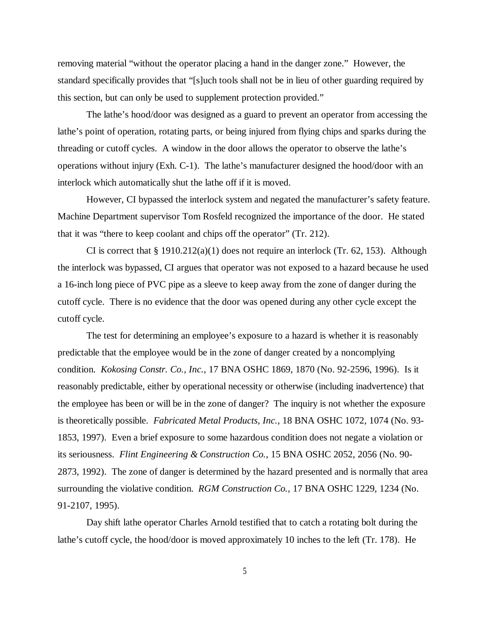removing material "without the operator placing a hand in the danger zone." However, the standard specifically provides that "[s]uch tools shall not be in lieu of other guarding required by this section, but can only be used to supplement protection provided."

The lathe's hood/door was designed as a guard to prevent an operator from accessing the lathe's point of operation, rotating parts, or being injured from flying chips and sparks during the threading or cutoff cycles. A window in the door allows the operator to observe the lathe's operations without injury (Exh. C-1). The lathe's manufacturer designed the hood/door with an interlock which automatically shut the lathe off if it is moved.

However, CI bypassed the interlock system and negated the manufacturer's safety feature. Machine Department supervisor Tom Rosfeld recognized the importance of the door. He stated that it was "there to keep coolant and chips off the operator" (Tr. 212).

CI is correct that  $\S 1910.212(a)(1)$  does not require an interlock (Tr. 62, 153). Although the interlock was bypassed, CI argues that operator was not exposed to a hazard because he used a 16-inch long piece of PVC pipe as a sleeve to keep away from the zone of danger during the cutoff cycle. There is no evidence that the door was opened during any other cycle except the cutoff cycle.

The test for determining an employee's exposure to a hazard is whether it is reasonably predictable that the employee would be in the zone of danger created by a noncomplying condition. *Kokosing Constr. Co., Inc.,* 17 BNA OSHC 1869, 1870 (No. 92-2596, 1996). Is it reasonably predictable, either by operational necessity or otherwise (including inadvertence) that the employee has been or will be in the zone of danger? The inquiry is not whether the exposure is theoretically possible. *Fabricated Metal Products, Inc.,* 18 BNA OSHC 1072, 1074 (No. 93- 1853, 1997). Even a brief exposure to some hazardous condition does not negate a violation or its seriousness. *Flint Engineering & Construction Co.*, 15 BNA OSHC 2052, 2056 (No. 90- 2873, 1992). The zone of danger is determined by the hazard presented and is normally that area surrounding the violative condition. *RGM Construction Co.,* 17 BNA OSHC 1229, 1234 (No. 91-2107, 1995).

Day shift lathe operator Charles Arnold testified that to catch a rotating bolt during the lathe's cutoff cycle, the hood/door is moved approximately 10 inches to the left (Tr. 178). He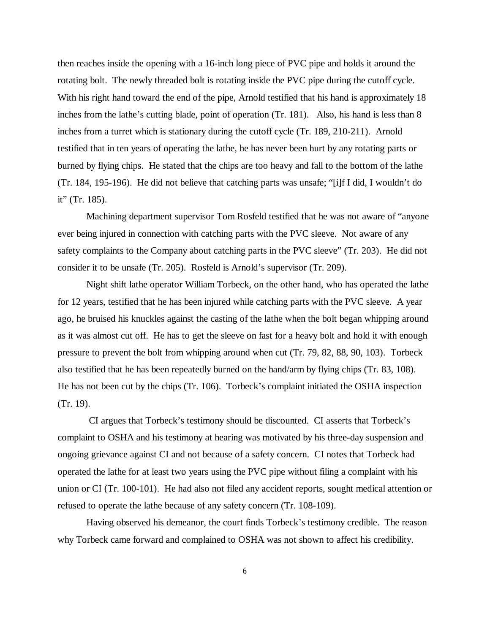then reaches inside the opening with a 16-inch long piece of PVC pipe and holds it around the rotating bolt. The newly threaded bolt is rotating inside the PVC pipe during the cutoff cycle. With his right hand toward the end of the pipe, Arnold testified that his hand is approximately 18 inches from the lathe's cutting blade, point of operation (Tr. 181). Also, his hand is less than 8 inches from a turret which is stationary during the cutoff cycle (Tr. 189, 210-211). Arnold testified that in ten years of operating the lathe, he has never been hurt by any rotating parts or burned by flying chips. He stated that the chips are too heavy and fall to the bottom of the lathe (Tr. 184, 195-196). He did not believe that catching parts was unsafe; "[i]f I did, I wouldn't do it" (Tr. 185).

Machining department supervisor Tom Rosfeld testified that he was not aware of "anyone ever being injured in connection with catching parts with the PVC sleeve. Not aware of any safety complaints to the Company about catching parts in the PVC sleeve" (Tr. 203). He did not consider it to be unsafe (Tr. 205). Rosfeld is Arnold's supervisor (Tr. 209).

Night shift lathe operator William Torbeck, on the other hand, who has operated the lathe for 12 years, testified that he has been injured while catching parts with the PVC sleeve. A year ago, he bruised his knuckles against the casting of the lathe when the bolt began whipping around as it was almost cut off. He has to get the sleeve on fast for a heavy bolt and hold it with enough pressure to prevent the bolt from whipping around when cut (Tr. 79, 82, 88, 90, 103). Torbeck also testified that he has been repeatedly burned on the hand/arm by flying chips (Tr. 83, 108). He has not been cut by the chips (Tr. 106). Torbeck's complaint initiated the OSHA inspection (Tr. 19).

 CI argues that Torbeck's testimony should be discounted. CI asserts that Torbeck's complaint to OSHA and his testimony at hearing was motivated by his three-day suspension and ongoing grievance against CI and not because of a safety concern. CI notes that Torbeck had operated the lathe for at least two years using the PVC pipe without filing a complaint with his union or CI (Tr. 100-101). He had also not filed any accident reports, sought medical attention or refused to operate the lathe because of any safety concern (Tr. 108-109).

Having observed his demeanor, the court finds Torbeck's testimony credible. The reason why Torbeck came forward and complained to OSHA was not shown to affect his credibility.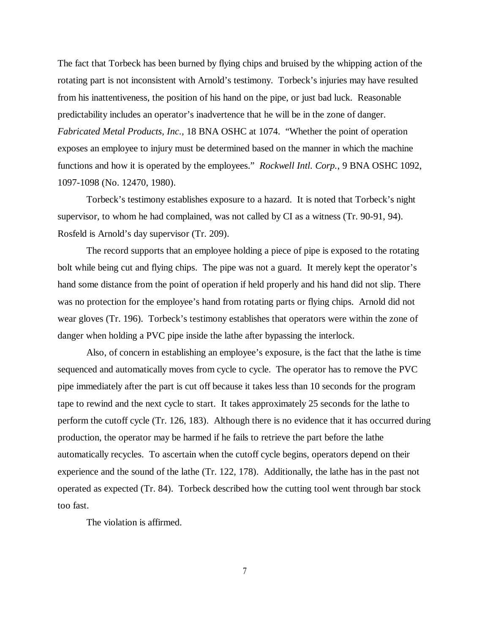The fact that Torbeck has been burned by flying chips and bruised by the whipping action of the rotating part is not inconsistent with Arnold's testimony. Torbeck's injuries may have resulted from his inattentiveness, the position of his hand on the pipe, or just bad luck. Reasonable predictability includes an operator's inadvertence that he will be in the zone of danger. *Fabricated Metal Products, Inc.,* 18 BNA OSHC at 1074. "Whether the point of operation exposes an employee to injury must be determined based on the manner in which the machine functions and how it is operated by the employees." *Rockwell Intl. Corp.*, 9 BNA OSHC 1092, 1097-1098 (No. 12470, 1980).

Torbeck's testimony establishes exposure to a hazard. It is noted that Torbeck's night supervisor, to whom he had complained, was not called by CI as a witness (Tr. 90-91, 94). Rosfeld is Arnold's day supervisor (Tr. 209).

The record supports that an employee holding a piece of pipe is exposed to the rotating bolt while being cut and flying chips. The pipe was not a guard. It merely kept the operator's hand some distance from the point of operation if held properly and his hand did not slip. There was no protection for the employee's hand from rotating parts or flying chips. Arnold did not wear gloves (Tr. 196). Torbeck's testimony establishes that operators were within the zone of danger when holding a PVC pipe inside the lathe after bypassing the interlock.

Also, of concern in establishing an employee's exposure, is the fact that the lathe is time sequenced and automatically moves from cycle to cycle. The operator has to remove the PVC pipe immediately after the part is cut off because it takes less than 10 seconds for the program tape to rewind and the next cycle to start. It takes approximately 25 seconds for the lathe to perform the cutoff cycle (Tr. 126, 183). Although there is no evidence that it has occurred during production, the operator may be harmed if he fails to retrieve the part before the lathe automatically recycles. To ascertain when the cutoff cycle begins, operators depend on their experience and the sound of the lathe (Tr. 122, 178). Additionally, the lathe has in the past not operated as expected (Tr. 84). Torbeck described how the cutting tool went through bar stock too fast.

The violation is affirmed.

7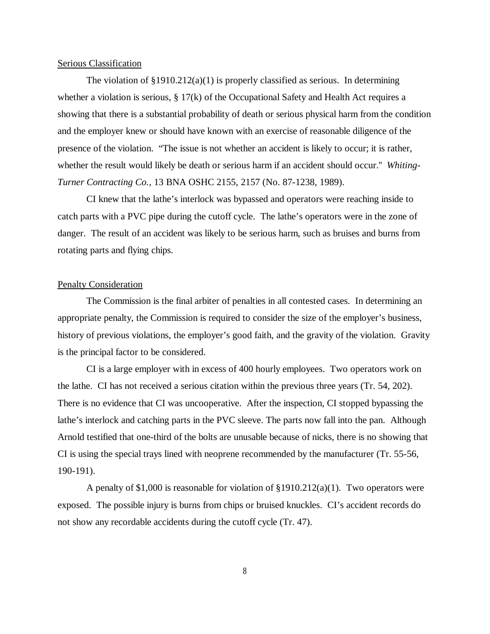## Serious Classification

The violation of  $\S 1910.212(a)(1)$  is properly classified as serious. In determining whether a violation is serious, § 17(k) of the Occupational Safety and Health Act requires a showing that there is a substantial probability of death or serious physical harm from the condition and the employer knew or should have known with an exercise of reasonable diligence of the presence of the violation. "The issue is not whether an accident is likely to occur; it is rather, whether the result would likely be death or serious harm if an accident should occur.'' *Whiting-Turner Contracting Co.,* 13 BNA OSHC 2155, 2157 (No. 87-1238, 1989).

CI knew that the lathe's interlock was bypassed and operators were reaching inside to catch parts with a PVC pipe during the cutoff cycle. The lathe's operators were in the zone of danger. The result of an accident was likely to be serious harm, such as bruises and burns from rotating parts and flying chips.

#### Penalty Consideration

The Commission is the final arbiter of penalties in all contested cases. In determining an appropriate penalty, the Commission is required to consider the size of the employer's business, history of previous violations, the employer's good faith, and the gravity of the violation. Gravity is the principal factor to be considered.

CI is a large employer with in excess of 400 hourly employees. Two operators work on the lathe. CI has not received a serious citation within the previous three years (Tr. 54, 202). There is no evidence that CI was uncooperative. After the inspection, CI stopped bypassing the lathe's interlock and catching parts in the PVC sleeve. The parts now fall into the pan. Although Arnold testified that one-third of the bolts are unusable because of nicks, there is no showing that CI is using the special trays lined with neoprene recommended by the manufacturer (Tr. 55-56, 190-191).

A penalty of \$1,000 is reasonable for violation of §1910.212(a)(1). Two operators were exposed. The possible injury is burns from chips or bruised knuckles. CI's accident records do not show any recordable accidents during the cutoff cycle (Tr. 47).

8